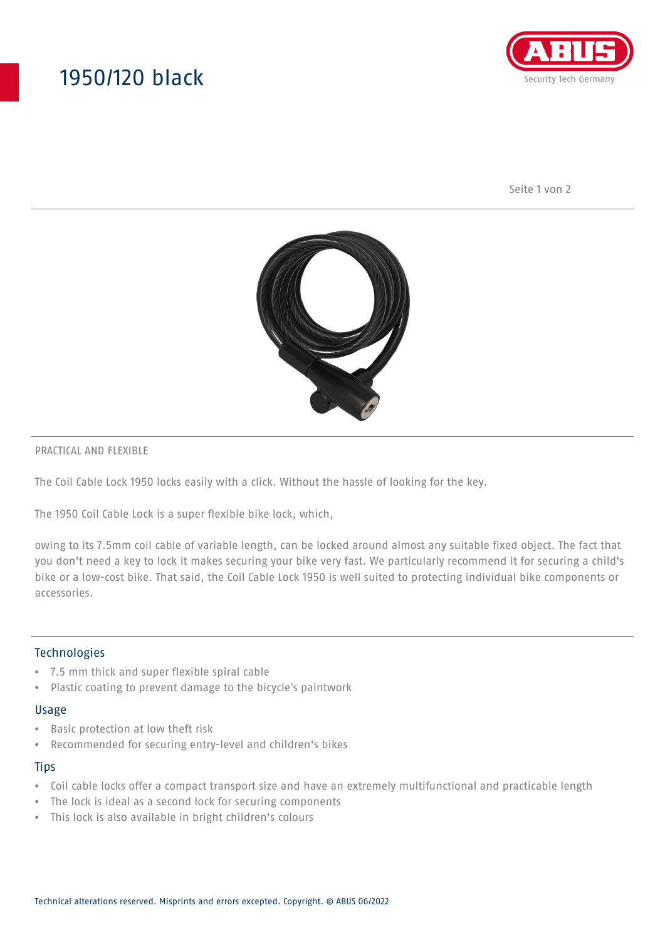# 1950/120 black



Seite 1 von 2



#### PRACTICAL AND FLEXIBLE

The Coil Cable Lock 1950 locks easily with a click. Without the hassle of looking for the key.

The 1950 Coil Cable Lock is a super flexible bike lock, which,

owing to its 7.5mm coil cable of variable length, can be locked around almost any suitable fixed object. The fact that you don't need a key to lock it makes securing your bike very fast. We particularly recommend it for securing a child's bike or a low-cost bike. That said, the Coil Cable Lock 1950 is well suited to protecting individual bike components or accessories.

### Technologies

- 7.5 mm thick and super flexible spiral cable
- Plastic coating to prevent damage to the bicycle's paintwork

#### Usage

- Basic protection at low theft risk
- Recommended for securing entry-level and children's bikes

#### **Tips**

- Coil cable locks offer a compact transport size and have an extremely multifunctional and practicable length
- The lock is ideal as a second lock for securing components
- This lock is also available in bright children's colours